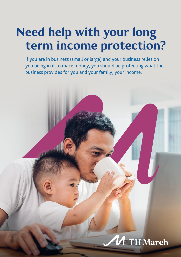## Need help with your long term income protection?

If you are in business (small or large) and your business relies on you being in it to make money, you should be protecting what the business provides for you and your family, your income.

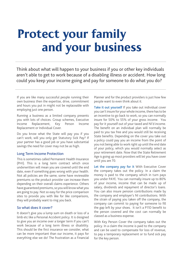# Protect your family and your business

Think about what will happen to your business if you or other key individuals aren't able to get to work because of a disabling illness or accident. How long could you keep your income going and pay for someone to do what you do?

If you are like many successful people running their own business then the expertise, drive, commitment and hours you put in might not be replaceable with emploving just one person.

Running a business as a limited company presents you with lots of choices. Group schemes, Executive Income Replacement, Key Person Income Replacement or Individual Cover.

Do you know what the State will pay you if you can't work; will you only get Statutory Sick Pay? If your partner has a good job or you have substantial savings the need for cover may not be as high.

### Long Term Income Protection

This is sometimes called Permanent Health Insurance (PHI). This is a long term contract which once underwritten will mean you are covered until the end date, even if something goes wrong with your health. Not all policies are the same; some have reviewable premiums so the product provider can increase them depending on their overall claims experience. Others have guaranteed premiums, so you will know what you are going to pay. Not so easy for the price comparison sites to provide you with like for like comparisons, they will probably want to ring you back.

#### So what does it cover?

It doesn't give you a lump sum on death or loss of a limb etc like a Personal Accident policy. It is designed to give you an income over a longer term if you can't work because of a long term illness or disability. This should be the first insurance we consider, what can be more important than our income, it pays for everything else we do! The frustration as a Financial Planner and for the product providers is just how few people want to even think about it.

Take it out vourself If you take out individual cover you can't insure for your whole income, there has to be an incentive to go back to work, so you can normally insure for 50% to 55% of your gross income. You pay for it yourself out of your taxed and NI'd income. The benefit on an individual plan will normally be paid to you tax free and you would still be receiving State benefits. Depending on the cover you take out a policy could pay you an income from the point of you not being able to work right up until the end date of your policy, which you would normally select as your retirement date. Now that the State Retirement Age is going up most providers will let you have cover until you are 70.

Let the company pay for it With Executive Cover the company takes out the policy. In a claim the money is paid to the company which in turn pays you under PAYE. You can normally insure up to 80% of your income, income that can be made up of salary, dividends and repayment of director's loans. You can also insure pension contributions made by the company and employer's NI contributions. With the strain of paying you taken off the company, the company can commit to paying for someone to fill the gap left by your shoes. It isn't a P11D benefit to the person covered and the cost can normally be classed as a business expense.

With Key Person Cover the company takes out the policy. In a claim the income is paid to the company and can be used to compensate for loss of revenue, to pay a temporary replacement or to fund sick pay for the key person.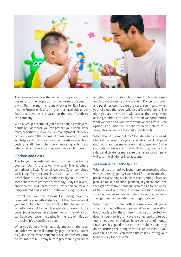

The cover is based on the value of the person to the business not the proportion of the business the person owns. The maximum amount of cover for Key Person Income Protection is often higher than available under Executive Cover as it is based on the loss of profit to the company.

With a Group Scheme (if you have enough employees, normally 5 or more), you can protect your whole work force, or perhaps just your senior management. Not only can you protect the income of those covered, insurers will help you to be pro-active around early intervention, getting staff back to work more quickly, and rehabilitation, reducing absenteeism in your business.

## Options and Costs

The longer the deferred period is (the time before you can claim), the lower the cost. This is where sometimes a little Personal Accident Cover combined with Long Term Income Protection can provide the best solution. A Personal Accident Policy could provide some short term protection, from say 7 days to a year, and then the Long Term Income Protection can have a long deferred period of 12 months reducing the costs.

I won't sell you the reasons for having cover by bombarding you with statistics, but the chances are if you are off long term then it will be that, longer term. So inflation could affect the spending power of the cover (your income) in a claim. For a little extra you can have your cover increasing by the rate of inflation in a claim. It's a sensible option.

What you do for a living has a big impact on the cost, an office worker will normally pay the least (lower risk) and some more dangerous occupations may not be insurable at all. It may hurt to pay more if you are in a higher risk occupation, but there is only one reason for this, you are more likely to claim. Dangerous sports and pastimes can increase the cost. Your health when you take out the cover will also affect the costs. The older you are the more it will cost as the risk goes up as we get older. Not ideal, but often we compromise what we need and want with what we can afford. One option is to limit the benefit when you claim to 5 years; this can reduce the cost considerably.

What should I look out for? Decide what you need. Check if the cover is for your occupation, i.e. it will pay– out if you can't pursue your normal occupation. Some occupations are not insurable. If you pay yourself by salary and dividends make sure the insurance company will take the dividends into account

## Get yourself a Back-Up Plan

When times are hard we focus more on protecting what we have already got. We work hard for the income that provides everything our families need, getting a back-up plan is a must in financial planning. If you are confused then get advice from someone who can go to the whole of the market and make a recommendation based on your circumstances. We can select the right cover from the right product provider that is right for you.

When one trip to the coffee house can cost you a small fortune (coffee and panini all around as well as hot chocolate for the children) the cost of protection doesn't seem so high. Have a coffee and a bite out four times a month and you have spent a lot of money. Most families spend more on their mobiles than they do on insuring their long term future. At least if you own a business you can soften the cost by letting your business pay for the cover.